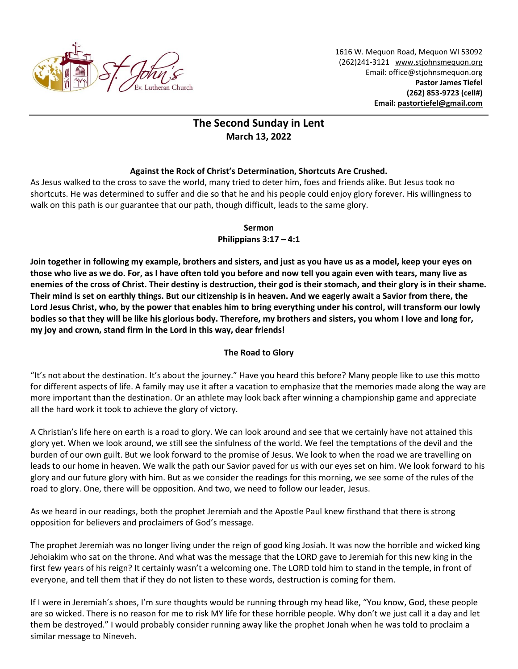

1616 W. Mequon Road, Mequon WI 53092 (262)241-3121 [www.stjohnsmequon.org](http://www.stjohnsmequon.org/) Email[: office@stjohnsmequon.org](mailto:office@stjohnsmequon.org) **Pastor James Tiefel (262) 853-9723 (cell#) Email: [pastortiefel@gmail.com](mailto:pastortiefel@gmail.com)**

## **The Second Sunday in Lent March 13, 2022**

## **Against the Rock of Christ's Determination, Shortcuts Are Crushed.**

As Jesus walked to the cross to save the world, many tried to deter him, foes and friends alike. But Jesus took no shortcuts. He was determined to suffer and die so that he and his people could enjoy glory forever. His willingness to walk on this path is our guarantee that our path, though difficult, leads to the same glory.

**Sermon**

**Philippians 3:17 – 4:1**

**Join together in following my example, brothers and sisters, and just as you have us as a model, keep your eyes on those who live as we do. For, as I have often told you before and now tell you again even with tears, many live as enemies of the cross of Christ. Their destiny is destruction, their god is their stomach, and their glory is in their shame. Their mind is set on earthly things. But our citizenship is in heaven. And we eagerly await a Savior from there, the Lord Jesus Christ, who, by the power that enables him to bring everything under his control, will transform our lowly bodies so that they will be like his glorious body. Therefore, my brothers and sisters, you whom I love and long for, my joy and crown, stand firm in the Lord in this way, dear friends!**

## **The Road to Glory**

"It's not about the destination. It's about the journey." Have you heard this before? Many people like to use this motto for different aspects of life. A family may use it after a vacation to emphasize that the memories made along the way are more important than the destination. Or an athlete may look back after winning a championship game and appreciate all the hard work it took to achieve the glory of victory.

A Christian's life here on earth is a road to glory. We can look around and see that we certainly have not attained this glory yet. When we look around, we still see the sinfulness of the world. We feel the temptations of the devil and the burden of our own guilt. But we look forward to the promise of Jesus. We look to when the road we are travelling on leads to our home in heaven. We walk the path our Savior paved for us with our eyes set on him. We look forward to his glory and our future glory with him. But as we consider the readings for this morning, we see some of the rules of the road to glory. One, there will be opposition. And two, we need to follow our leader, Jesus.

As we heard in our readings, both the prophet Jeremiah and the Apostle Paul knew firsthand that there is strong opposition for believers and proclaimers of God's message.

The prophet Jeremiah was no longer living under the reign of good king Josiah. It was now the horrible and wicked king Jehoiakim who sat on the throne. And what was the message that the LORD gave to Jeremiah for this new king in the first few years of his reign? It certainly wasn't a welcoming one. The LORD told him to stand in the temple, in front of everyone, and tell them that if they do not listen to these words, destruction is coming for them.

If I were in Jeremiah's shoes, I'm sure thoughts would be running through my head like, "You know, God, these people are so wicked. There is no reason for me to risk MY life for these horrible people. Why don't we just call it a day and let them be destroyed." I would probably consider running away like the prophet Jonah when he was told to proclaim a similar message to Nineveh.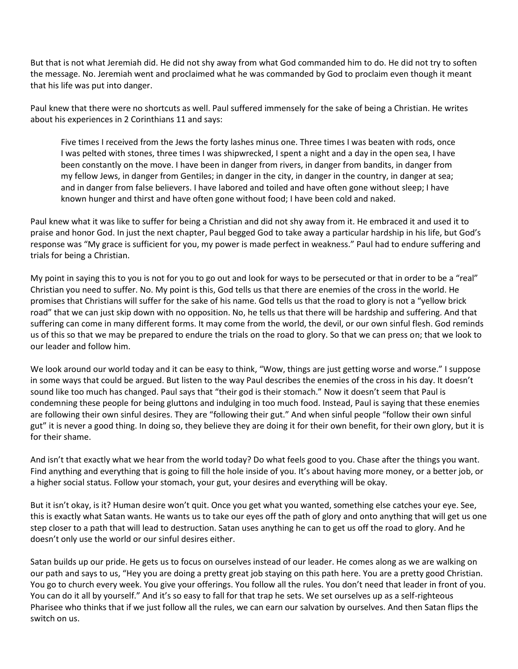But that is not what Jeremiah did. He did not shy away from what God commanded him to do. He did not try to soften the message. No. Jeremiah went and proclaimed what he was commanded by God to proclaim even though it meant that his life was put into danger.

Paul knew that there were no shortcuts as well. Paul suffered immensely for the sake of being a Christian. He writes about his experiences in 2 Corinthians 11 and says:

Five times I received from the Jews the forty lashes minus one. Three times I was beaten with rods, once I was pelted with stones, three times I was shipwrecked, I spent a night and a day in the open sea, I have been constantly on the move. I have been in danger from rivers, in danger from bandits, in danger from my fellow Jews, in danger from Gentiles; in danger in the city, in danger in the country, in danger at sea; and in danger from false believers. I have labored and toiled and have often gone without sleep; I have known hunger and thirst and have often gone without food; I have been cold and naked.

Paul knew what it was like to suffer for being a Christian and did not shy away from it. He embraced it and used it to praise and honor God. In just the next chapter, Paul begged God to take away a particular hardship in his life, but God's response was "My grace is sufficient for you, my power is made perfect in weakness." Paul had to endure suffering and trials for being a Christian.

My point in saying this to you is not for you to go out and look for ways to be persecuted or that in order to be a "real" Christian you need to suffer. No. My point is this, God tells us that there are enemies of the cross in the world. He promises that Christians will suffer for the sake of his name. God tells us that the road to glory is not a "yellow brick road" that we can just skip down with no opposition. No, he tells us that there will be hardship and suffering. And that suffering can come in many different forms. It may come from the world, the devil, or our own sinful flesh. God reminds us of this so that we may be prepared to endure the trials on the road to glory. So that we can press on; that we look to our leader and follow him.

We look around our world today and it can be easy to think, "Wow, things are just getting worse and worse." I suppose in some ways that could be argued. But listen to the way Paul describes the enemies of the cross in his day. It doesn't sound like too much has changed. Paul says that "their god is their stomach." Now it doesn't seem that Paul is condemning these people for being gluttons and indulging in too much food. Instead, Paul is saying that these enemies are following their own sinful desires. They are "following their gut." And when sinful people "follow their own sinful gut" it is never a good thing. In doing so, they believe they are doing it for their own benefit, for their own glory, but it is for their shame.

And isn't that exactly what we hear from the world today? Do what feels good to you. Chase after the things you want. Find anything and everything that is going to fill the hole inside of you. It's about having more money, or a better job, or a higher social status. Follow your stomach, your gut, your desires and everything will be okay.

But it isn't okay, is it? Human desire won't quit. Once you get what you wanted, something else catches your eye. See, this is exactly what Satan wants. He wants us to take our eyes off the path of glory and onto anything that will get us one step closer to a path that will lead to destruction. Satan uses anything he can to get us off the road to glory. And he doesn't only use the world or our sinful desires either.

Satan builds up our pride. He gets us to focus on ourselves instead of our leader. He comes along as we are walking on our path and says to us, "Hey you are doing a pretty great job staying on this path here. You are a pretty good Christian. You go to church every week. You give your offerings. You follow all the rules. You don't need that leader in front of you. You can do it all by yourself." And it's so easy to fall for that trap he sets. We set ourselves up as a self-righteous Pharisee who thinks that if we just follow all the rules, we can earn our salvation by ourselves. And then Satan flips the switch on us.